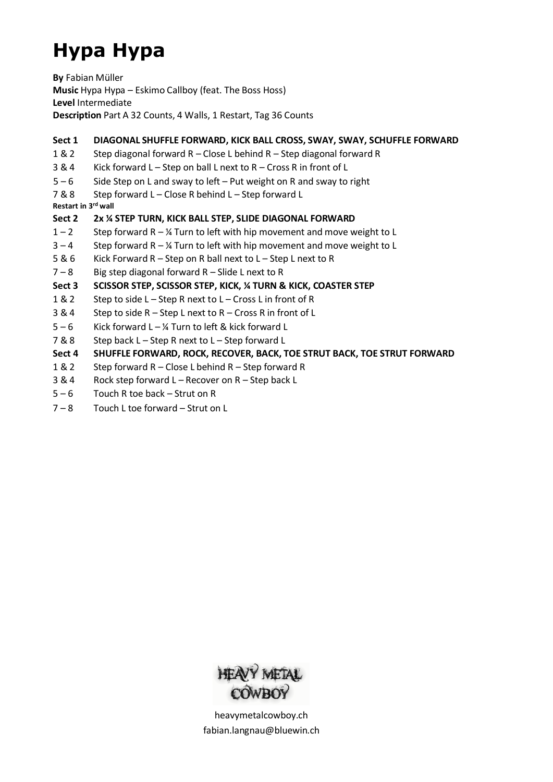# **Hypa Hypa**

**By** Fabian Müller **Music** Hypa Hypa – Eskimo Callboy (feat. The Boss Hoss) **Level** Intermediate **Description** Part A 32 Counts, 4 Walls, 1 Restart, Tag 36 Counts

#### **Sect 1 DIAGONAL SHUFFLE FORWARD, KICK BALL CROSS, SWAY, SWAY, SCHUFFLE FORWARD**

- 1 & 2 Step diagonal forward R Close L behind R Step diagonal forward R
- 3 & 4 Kick forward L Step on ball L next to R Cross R in front of L
- $5 6$  Side Step on L and sway to left Put weight on R and sway to right
- 7 & 8 Step forward L Close R behind L Step forward L

**Restart in 3 rd wall**

#### **Sect 2 2x ¼ STEP TURN, KICK BALL STEP, SLIDE DIAGONAL FORWARD**

- $1 2$  Step forward R ¼ Turn to left with hip movement and move weight to L
- $3 4$  Step forward R % Turn to left with hip movement and move weight to L
- 5 & 6 Kick Forward R Step on R ball next to L Step L next to R
- $7 8$  Big step diagonal forward R Slide L next to R

#### **Sect 3 SCISSOR STEP, SCISSOR STEP, KICK, ¼ TURN & KICK, COASTER STEP**

- 1 & 2 Step to side L Step R next to L Cross L in front of R
- 3 & 4 Step to side R Step L next to R Cross R in front of L
- $5 6$  Kick forward L ¼ Turn to left & kick forward L
- 7 & 8 Step back L Step R next to L Step forward L

#### **Sect 4 SHUFFLE FORWARD, ROCK, RECOVER, BACK, TOE STRUT BACK, TOE STRUT FORWARD**

- 1 & 2 Step forward R Close L behind R Step forward R
- 3 & 4 Rock step forward L Recover on R Step back L
- 5 6 Touch R toe back Strut on R
- 7 8 Touch L toe forward Strut on L



heavymetalcowboy.ch [fabian.langnau@bluewin.ch](mailto:fabian.langnau@bluewin.ch)